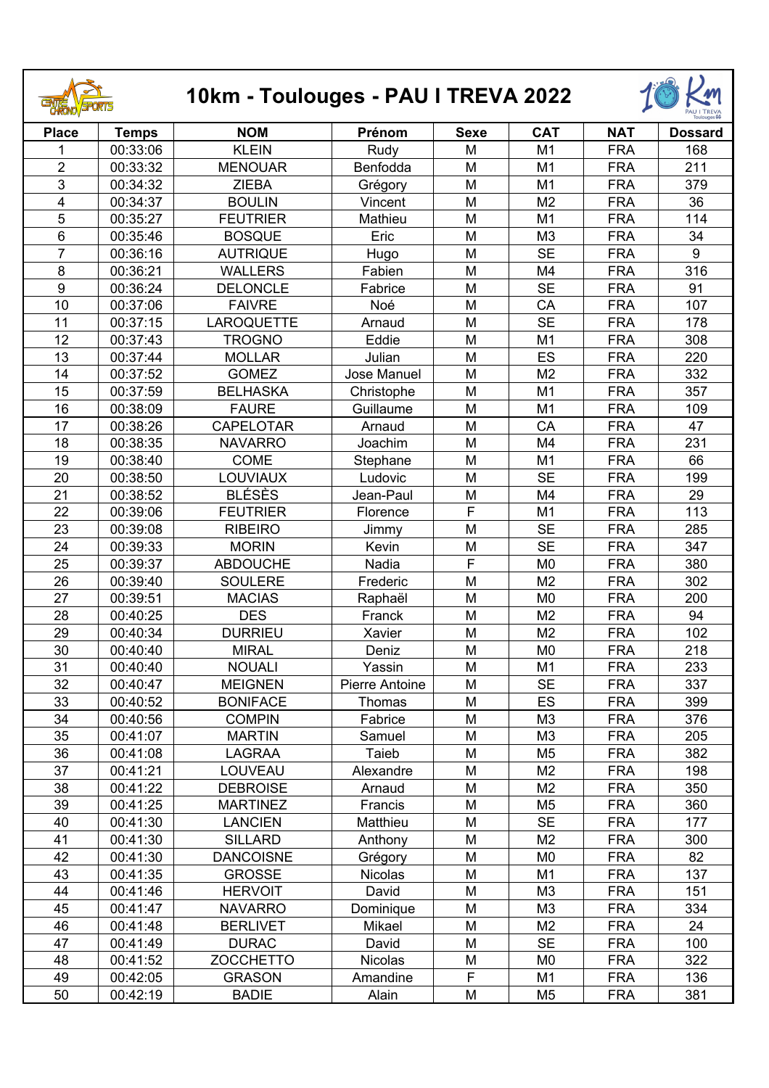

## **10km - Toulouges - PAU I TREVA 2022**



|                         |              |                   |                       |             |                |            | Toulouges 66   |
|-------------------------|--------------|-------------------|-----------------------|-------------|----------------|------------|----------------|
| <b>Place</b>            | <b>Temps</b> | <b>NOM</b>        | Prénom                | <b>Sexe</b> | <b>CAT</b>     | <b>NAT</b> | <b>Dossard</b> |
| 1                       | 00:33:06     | <b>KLEIN</b>      | Rudy                  | M           | M1             | <b>FRA</b> | 168            |
| $\overline{2}$          | 00:33:32     | <b>MENOUAR</b>    | Benfodda              | M           | M1             | <b>FRA</b> | 211            |
| $\overline{3}$          | 00:34:32     | <b>ZIEBA</b>      | Grégory               | M           | M1             | <b>FRA</b> | 379            |
| $\overline{\mathbf{4}}$ | 00:34:37     | <b>BOULIN</b>     | Vincent               | M           | M <sub>2</sub> | <b>FRA</b> | 36             |
| 5                       | 00:35:27     | <b>FEUTRIER</b>   | Mathieu               | M           | M1             | <b>FRA</b> | 114            |
| 6                       | 00:35:46     | <b>BOSQUE</b>     | Eric                  | M           | M <sub>3</sub> | <b>FRA</b> | 34             |
| $\overline{7}$          | 00:36:16     | <b>AUTRIQUE</b>   | Hugo                  | M           | <b>SE</b>      | <b>FRA</b> | 9              |
| $\overline{8}$          | 00:36:21     | <b>WALLERS</b>    | Fabien                | M           | M4             | <b>FRA</b> | 316            |
| $\boldsymbol{9}$        | 00:36:24     | <b>DELONCLE</b>   | Fabrice               | M           | <b>SE</b>      | <b>FRA</b> | 91             |
| 10                      | 00:37:06     | <b>FAIVRE</b>     | Noé                   | M           | CA             | <b>FRA</b> | 107            |
| 11                      | 00:37:15     | <b>LAROQUETTE</b> | Arnaud                | M           | <b>SE</b>      | <b>FRA</b> | 178            |
| 12                      | 00:37:43     | <b>TROGNO</b>     | Eddie                 | M           | M1             | <b>FRA</b> | 308            |
| 13                      | 00:37:44     | <b>MOLLAR</b>     | Julian                | M           | <b>ES</b>      | <b>FRA</b> | 220            |
| 14                      | 00:37:52     | <b>GOMEZ</b>      | Jose Manuel           | M           | M <sub>2</sub> | <b>FRA</b> | 332            |
| 15                      | 00:37:59     | <b>BELHASKA</b>   | Christophe            | M           | M1             | <b>FRA</b> | 357            |
| 16                      | 00:38:09     | <b>FAURE</b>      | Guillaume             | M           | M1             | <b>FRA</b> | 109            |
| 17                      | 00:38:26     | <b>CAPELOTAR</b>  | Arnaud                | M           | CA             | <b>FRA</b> | 47             |
| 18                      | 00:38:35     | <b>NAVARRO</b>    | Joachim               | M           | M4             | <b>FRA</b> | 231            |
| 19                      | 00:38:40     | <b>COME</b>       | Stephane              | M           | M1             | <b>FRA</b> | 66             |
| 20                      | 00:38:50     | <b>LOUVIAUX</b>   | Ludovic               | M           | <b>SE</b>      | <b>FRA</b> | 199            |
| 21                      | 00:38:52     | <b>BLÉSÈS</b>     | Jean-Paul             | M           | M4             | <b>FRA</b> | 29             |
| 22                      | 00:39:06     | <b>FEUTRIER</b>   | Florence              | F           | M1             | <b>FRA</b> | 113            |
| 23                      | 00:39:08     | <b>RIBEIRO</b>    | Jimmy                 | M           | <b>SE</b>      | <b>FRA</b> | 285            |
| 24                      | 00:39:33     | <b>MORIN</b>      | Kevin                 | M           | <b>SE</b>      | <b>FRA</b> | 347            |
| 25                      | 00:39:37     | <b>ABDOUCHE</b>   | Nadia                 | F           | M <sub>0</sub> | <b>FRA</b> | 380            |
| 26                      | 00:39:40     | <b>SOULERE</b>    | Frederic              | M           | M <sub>2</sub> | <b>FRA</b> | 302            |
| 27                      | 00:39:51     | <b>MACIAS</b>     | Raphaël               | M           | M <sub>0</sub> | <b>FRA</b> | 200            |
| 28                      | 00:40:25     | <b>DES</b>        | Franck                | M           | M <sub>2</sub> | <b>FRA</b> | 94             |
| 29                      | 00:40:34     | <b>DURRIEU</b>    | Xavier                | M           | M <sub>2</sub> | <b>FRA</b> | 102            |
| 30                      | 00:40:40     | <b>MIRAL</b>      | Deniz                 | M           | M <sub>0</sub> | <b>FRA</b> | 218            |
| 31                      | 00:40:40     | <b>NOUALI</b>     | Yassin                | M           | M <sub>1</sub> | <b>FRA</b> | 233            |
| 32                      | 00:40:47     | <b>MEIGNEN</b>    | <b>Pierre Antoine</b> | M           | <b>SE</b>      | <b>FRA</b> | 337            |
| 33                      | 00:40:52     | <b>BONIFACE</b>   | Thomas                | M           | <b>ES</b>      | <b>FRA</b> | 399            |
| 34                      | 00:40:56     | <b>COMPIN</b>     | Fabrice               | M           | M <sub>3</sub> | <b>FRA</b> | 376            |
| 35                      | 00:41:07     | <b>MARTIN</b>     | Samuel                | M           | M <sub>3</sub> | <b>FRA</b> | 205            |
| 36                      | 00:41:08     | <b>LAGRAA</b>     | Taieb                 | M           | M <sub>5</sub> | <b>FRA</b> | 382            |
| 37                      | 00:41:21     | LOUVEAU           | Alexandre             | M           | M <sub>2</sub> | <b>FRA</b> | 198            |
| 38                      | 00:41:22     | <b>DEBROISE</b>   | Arnaud                | M           | M <sub>2</sub> | <b>FRA</b> | 350            |
| 39                      | 00:41:25     | <b>MARTINEZ</b>   | Francis               | M           | M <sub>5</sub> | <b>FRA</b> | 360            |
| 40                      | 00:41:30     | <b>LANCIEN</b>    | Matthieu              | M           | <b>SE</b>      | <b>FRA</b> | 177            |
| 41                      | 00:41:30     | <b>SILLARD</b>    | Anthony               | M           | M <sub>2</sub> | <b>FRA</b> | 300            |
| 42                      | 00:41:30     | <b>DANCOISNE</b>  | Grégory               | M           | M <sub>0</sub> | <b>FRA</b> | 82             |
| 43                      | 00:41:35     | <b>GROSSE</b>     | <b>Nicolas</b>        | M           | M1             | <b>FRA</b> | 137            |
| 44                      | 00:41:46     | <b>HERVOIT</b>    | David                 | M           | M <sub>3</sub> | <b>FRA</b> | 151            |
| 45                      | 00:41:47     | <b>NAVARRO</b>    | Dominique             | M           | M <sub>3</sub> | <b>FRA</b> | 334            |
| 46                      | 00:41:48     | <b>BERLIVET</b>   | Mikael                | M           | M <sub>2</sub> | <b>FRA</b> | 24             |
| 47                      | 00:41:49     | <b>DURAC</b>      | David                 | M           | <b>SE</b>      | <b>FRA</b> | 100            |
| 48                      | 00:41:52     | <b>ZOCCHETTO</b>  | Nicolas               | M           | M <sub>0</sub> | <b>FRA</b> | 322            |
| 49                      | 00:42:05     | <b>GRASON</b>     | Amandine              | F           | M <sub>1</sub> | <b>FRA</b> | 136            |
| 50                      | 00:42:19     | <b>BADIE</b>      | Alain                 | M           | M <sub>5</sub> | <b>FRA</b> | 381            |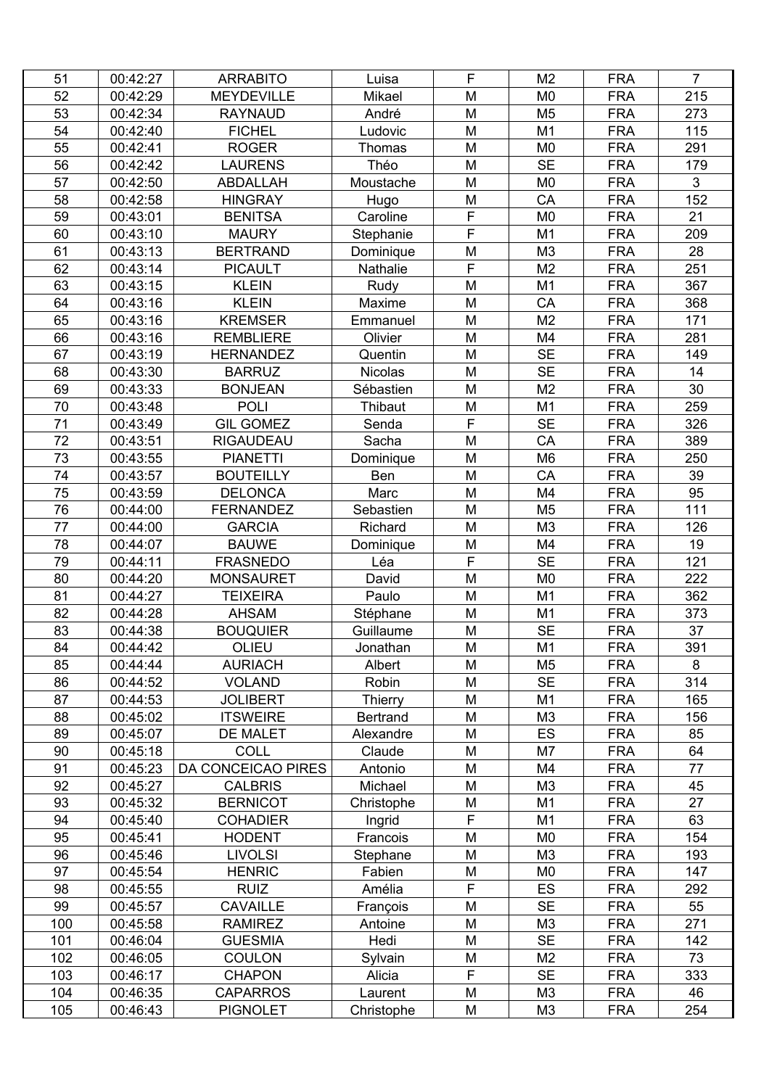| 51  | 00:42:27 | <b>ARRABITO</b>    | Luisa           | F | M <sub>2</sub> | <b>FRA</b> | $\overline{7}$ |
|-----|----------|--------------------|-----------------|---|----------------|------------|----------------|
| 52  | 00:42:29 | <b>MEYDEVILLE</b>  | Mikael          | M | M <sub>0</sub> | <b>FRA</b> | 215            |
| 53  | 00:42:34 | <b>RAYNAUD</b>     | André           | M | M <sub>5</sub> | <b>FRA</b> | 273            |
| 54  | 00:42:40 | <b>FICHEL</b>      | Ludovic         | M | M <sub>1</sub> | <b>FRA</b> | 115            |
| 55  | 00:42:41 | <b>ROGER</b>       | <b>Thomas</b>   | M | M <sub>0</sub> | <b>FRA</b> | 291            |
| 56  | 00:42:42 | <b>LAURENS</b>     | Théo            | M | <b>SE</b>      | <b>FRA</b> | 179            |
| 57  | 00:42:50 | <b>ABDALLAH</b>    | Moustache       | M | M <sub>0</sub> | <b>FRA</b> | 3              |
| 58  | 00:42:58 | <b>HINGRAY</b>     | Hugo            | M | CA             | <b>FRA</b> | 152            |
| 59  | 00:43:01 | <b>BENITSA</b>     | Caroline        | F | M <sub>0</sub> | <b>FRA</b> | 21             |
| 60  | 00:43:10 | <b>MAURY</b>       | Stephanie       | F | M <sub>1</sub> | <b>FRA</b> | 209            |
| 61  | 00:43:13 | <b>BERTRAND</b>    | Dominique       | M | M3             | <b>FRA</b> | 28             |
| 62  | 00:43:14 | <b>PICAULT</b>     | Nathalie        | F | M <sub>2</sub> | <b>FRA</b> | 251            |
| 63  | 00:43:15 | <b>KLEIN</b>       | Rudy            | M | M1             | <b>FRA</b> | 367            |
| 64  | 00:43:16 | <b>KLEIN</b>       | Maxime          | M | CA             | <b>FRA</b> | 368            |
| 65  | 00:43:16 | <b>KREMSER</b>     | Emmanuel        | M | M <sub>2</sub> | <b>FRA</b> | 171            |
| 66  | 00:43:16 | <b>REMBLIERE</b>   | Olivier         | M | M4             | <b>FRA</b> | 281            |
| 67  | 00:43:19 | <b>HERNANDEZ</b>   | Quentin         | M | <b>SE</b>      | <b>FRA</b> | 149            |
| 68  | 00:43:30 | <b>BARRUZ</b>      | <b>Nicolas</b>  | M | <b>SE</b>      | <b>FRA</b> | 14             |
| 69  | 00:43:33 | <b>BONJEAN</b>     | Sébastien       | M | M <sub>2</sub> | <b>FRA</b> | 30             |
| 70  | 00:43:48 | <b>POLI</b>        | Thibaut         | M | M <sub>1</sub> | <b>FRA</b> | 259            |
| 71  | 00:43:49 | <b>GIL GOMEZ</b>   |                 | F | <b>SE</b>      | <b>FRA</b> | 326            |
| 72  |          |                    | Senda           | M |                |            |                |
|     | 00:43:51 | <b>RIGAUDEAU</b>   | Sacha           |   | CA             | <b>FRA</b> | 389            |
| 73  | 00:43:55 | <b>PIANETTI</b>    | Dominique       | M | M <sub>6</sub> | <b>FRA</b> | 250            |
| 74  | 00:43:57 | <b>BOUTEILLY</b>   | Ben             | M | CA             | <b>FRA</b> | 39             |
| 75  | 00:43:59 | <b>DELONCA</b>     | Marc            | M | M4             | <b>FRA</b> | 95             |
| 76  | 00:44:00 | <b>FERNANDEZ</b>   | Sebastien       | M | M <sub>5</sub> | <b>FRA</b> | 111            |
| 77  | 00:44:00 | <b>GARCIA</b>      | Richard         | M | M <sub>3</sub> | <b>FRA</b> | 126            |
| 78  | 00:44:07 | <b>BAUWE</b>       | Dominique       | M | M4             | <b>FRA</b> | 19             |
| 79  | 00:44:11 | <b>FRASNEDO</b>    | Léa             | F | <b>SE</b>      | <b>FRA</b> | 121            |
| 80  | 00:44:20 | <b>MONSAURET</b>   | David           | M | M <sub>0</sub> | <b>FRA</b> | 222            |
| 81  | 00:44:27 | <b>TEIXEIRA</b>    | Paulo           | M | M1             | <b>FRA</b> | 362            |
| 82  | 00:44:28 | <b>AHSAM</b>       | Stéphane        | M | M <sub>1</sub> | <b>FRA</b> | 373            |
| 83  | 00:44:38 | <b>BOUQUIER</b>    | Guillaume       | M | <b>SE</b>      | <b>FRA</b> | 37             |
| 84  | 00:44:42 | OLIEU              | Jonathan        | M | M <sub>1</sub> | <b>FRA</b> | 391            |
| 85  | 00:44:44 | <b>AURIACH</b>     | Albert          | M | M <sub>5</sub> | <b>FRA</b> | 8              |
| 86  | 00:44:52 | <b>VOLAND</b>      | Robin           | M | <b>SE</b>      | <b>FRA</b> | 314            |
| 87  | 00:44:53 | <b>JOLIBERT</b>    | Thierry         | M | M <sub>1</sub> | <b>FRA</b> | 165            |
| 88  | 00:45:02 | <b>ITSWEIRE</b>    | <b>Bertrand</b> | M | M <sub>3</sub> | <b>FRA</b> | 156            |
| 89  | 00:45:07 | DE MALET           | Alexandre       | M | <b>ES</b>      | <b>FRA</b> | 85             |
| 90  | 00:45:18 | <b>COLL</b>        | Claude          | M | M7             | <b>FRA</b> | 64             |
| 91  | 00:45:23 | DA CONCEICAO PIRES | Antonio         | M | M4             | <b>FRA</b> | 77             |
| 92  | 00:45:27 | <b>CALBRIS</b>     | Michael         | M | M <sub>3</sub> | <b>FRA</b> | 45             |
| 93  | 00:45:32 | <b>BERNICOT</b>    | Christophe      | M | M <sub>1</sub> | <b>FRA</b> | 27             |
| 94  | 00:45:40 | <b>COHADIER</b>    | Ingrid          | F | M <sub>1</sub> | <b>FRA</b> | 63             |
| 95  | 00:45:41 | <b>HODENT</b>      | Francois        | M | M <sub>0</sub> | <b>FRA</b> | 154            |
| 96  | 00:45:46 | <b>LIVOLSI</b>     | Stephane        | M | M <sub>3</sub> | <b>FRA</b> | 193            |
| 97  | 00:45:54 | <b>HENRIC</b>      | Fabien          | M | M <sub>0</sub> | <b>FRA</b> | 147            |
| 98  | 00:45:55 | <b>RUIZ</b>        | Amélia          | F | ES             | <b>FRA</b> | 292            |
| 99  | 00:45:57 | <b>CAVAILLE</b>    | François        | M | <b>SE</b>      | <b>FRA</b> | 55             |
| 100 | 00:45:58 | <b>RAMIREZ</b>     | Antoine         | M | M <sub>3</sub> | <b>FRA</b> | 271            |
| 101 | 00:46:04 | <b>GUESMIA</b>     | Hedi            | M | <b>SE</b>      | <b>FRA</b> | 142            |
| 102 | 00:46:05 | <b>COULON</b>      | Sylvain         | M | M <sub>2</sub> | <b>FRA</b> | 73             |
| 103 | 00:46:17 | <b>CHAPON</b>      | Alicia          | F | <b>SE</b>      | <b>FRA</b> | 333            |
| 104 | 00:46:35 | <b>CAPARROS</b>    | Laurent         | M | M <sub>3</sub> | <b>FRA</b> | 46             |
| 105 | 00:46:43 | <b>PIGNOLET</b>    | Christophe      | M | M <sub>3</sub> | <b>FRA</b> | 254            |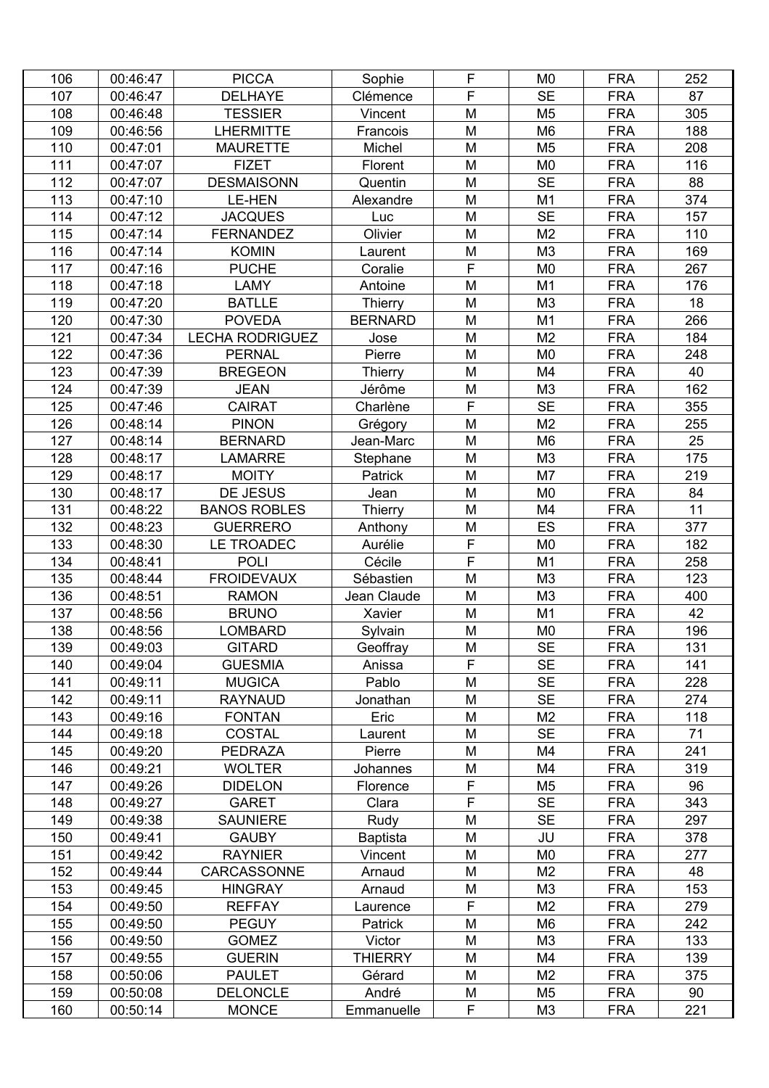| 106 | 00:46:47 | <b>PICCA</b>           | Sophie         | F              | M <sub>0</sub> | <b>FRA</b> | 252 |
|-----|----------|------------------------|----------------|----------------|----------------|------------|-----|
| 107 | 00:46:47 | <b>DELHAYE</b>         | Clémence       | F              | <b>SE</b>      | <b>FRA</b> | 87  |
| 108 | 00:46:48 | <b>TESSIER</b>         | Vincent        | M              | M <sub>5</sub> | <b>FRA</b> | 305 |
| 109 | 00:46:56 | <b>LHERMITTE</b>       | Francois       | M              | M <sub>6</sub> | <b>FRA</b> | 188 |
| 110 | 00:47:01 | <b>MAURETTE</b>        | Michel         | M              | M <sub>5</sub> | <b>FRA</b> | 208 |
| 111 | 00:47:07 | <b>FIZET</b>           | Florent        | M              | M <sub>0</sub> | <b>FRA</b> | 116 |
| 112 | 00:47:07 | <b>DESMAISONN</b>      | Quentin        | M              | <b>SE</b>      | <b>FRA</b> | 88  |
| 113 | 00:47:10 | <b>LE-HEN</b>          | Alexandre      | M              | M1             | <b>FRA</b> | 374 |
| 114 | 00:47:12 | <b>JACQUES</b>         | Luc            | M              | <b>SE</b>      | <b>FRA</b> | 157 |
| 115 | 00:47:14 | <b>FERNANDEZ</b>       | Olivier        | M              | M <sub>2</sub> | <b>FRA</b> | 110 |
| 116 | 00:47:14 | <b>KOMIN</b>           | Laurent        | M              | M3             | <b>FRA</b> | 169 |
| 117 | 00:47:16 | <b>PUCHE</b>           | Coralie        | F              | M <sub>0</sub> | <b>FRA</b> | 267 |
| 118 | 00:47:18 | <b>LAMY</b>            | Antoine        | M              | M1             | <b>FRA</b> | 176 |
| 119 | 00:47:20 | <b>BATLLE</b>          | Thierry        | M              | M <sub>3</sub> | <b>FRA</b> | 18  |
| 120 | 00:47:30 | <b>POVEDA</b>          | <b>BERNARD</b> | M              | M1             | <b>FRA</b> | 266 |
| 121 | 00:47:34 | <b>LECHA RODRIGUEZ</b> | Jose           | M              | M <sub>2</sub> | <b>FRA</b> | 184 |
| 122 | 00:47:36 | <b>PERNAL</b>          | Pierre         | M              | M <sub>0</sub> | <b>FRA</b> | 248 |
| 123 | 00:47:39 | <b>BREGEON</b>         | Thierry        | M              | M <sub>4</sub> | <b>FRA</b> | 40  |
| 124 | 00:47:39 | <b>JEAN</b>            | Jérôme         | M              | M <sub>3</sub> | <b>FRA</b> | 162 |
| 125 | 00:47:46 | <b>CAIRAT</b>          | Charlène       | $\overline{F}$ | <b>SE</b>      | <b>FRA</b> | 355 |
| 126 | 00:48:14 | <b>PINON</b>           | Grégory        | M              | M <sub>2</sub> | <b>FRA</b> | 255 |
| 127 | 00:48:14 | <b>BERNARD</b>         | Jean-Marc      | M              | M <sub>6</sub> | <b>FRA</b> | 25  |
| 128 | 00:48:17 | <b>LAMARRE</b>         | Stephane       | M              | M <sub>3</sub> | <b>FRA</b> | 175 |
| 129 | 00:48:17 | <b>MOITY</b>           | Patrick        | M              | M7             | <b>FRA</b> | 219 |
| 130 | 00:48:17 | DE JESUS               | Jean           | M              | M <sub>0</sub> | <b>FRA</b> | 84  |
| 131 | 00:48:22 | <b>BANOS ROBLES</b>    | Thierry        | M              | M4             | <b>FRA</b> | 11  |
| 132 | 00:48:23 | <b>GUERRERO</b>        | Anthony        | M              | <b>ES</b>      | <b>FRA</b> | 377 |
| 133 | 00:48:30 | LE TROADEC             | Aurélie        | F              | M <sub>0</sub> | <b>FRA</b> | 182 |
| 134 | 00:48:41 | <b>POLI</b>            | Cécile         | F              | M <sub>1</sub> | <b>FRA</b> | 258 |
| 135 | 00:48:44 | <b>FROIDEVAUX</b>      | Sébastien      | M              | M3             | <b>FRA</b> | 123 |
| 136 | 00:48:51 | <b>RAMON</b>           | Jean Claude    | M              | M <sub>3</sub> | <b>FRA</b> | 400 |
| 137 | 00:48:56 | <b>BRUNO</b>           | Xavier         | M              | M <sub>1</sub> | <b>FRA</b> | 42  |
| 138 | 00:48:56 | <b>LOMBARD</b>         | Sylvain        | M              | M <sub>0</sub> | <b>FRA</b> | 196 |
| 139 | 00:49:03 | <b>GITARD</b>          | Geoffray       | M              | <b>SE</b>      | <b>FRA</b> | 131 |
| 140 | 00:49:04 | <b>GUESMIA</b>         | Anissa         | F              | <b>SE</b>      | <b>FRA</b> | 141 |
| 141 | 00:49:11 | <b>MUGICA</b>          | Pablo          | M              | <b>SE</b>      | <b>FRA</b> | 228 |
| 142 | 00:49:11 | <b>RAYNAUD</b>         | Jonathan       | M              | <b>SE</b>      | <b>FRA</b> | 274 |
| 143 | 00:49:16 | <b>FONTAN</b>          | Eric           | M              | M <sub>2</sub> | <b>FRA</b> | 118 |
| 144 | 00:49:18 | <b>COSTAL</b>          | Laurent        | M              | <b>SE</b>      | <b>FRA</b> | 71  |
| 145 | 00:49:20 | <b>PEDRAZA</b>         | Pierre         | M              | M4             | <b>FRA</b> | 241 |
| 146 | 00:49:21 | <b>WOLTER</b>          | Johannes       | M              | M4             | <b>FRA</b> | 319 |
| 147 | 00:49:26 | <b>DIDELON</b>         | Florence       | F              | M <sub>5</sub> | <b>FRA</b> | 96  |
| 148 | 00:49:27 | <b>GARET</b>           | Clara          | F              | <b>SE</b>      | <b>FRA</b> | 343 |
| 149 | 00:49:38 | <b>SAUNIERE</b>        | Rudy           | M              | <b>SE</b>      | <b>FRA</b> | 297 |
| 150 | 00:49:41 | <b>GAUBY</b>           | Baptista       | M              | JU             | <b>FRA</b> | 378 |
| 151 | 00:49:42 | <b>RAYNIER</b>         | Vincent        | M              | M <sub>0</sub> | <b>FRA</b> | 277 |
| 152 | 00:49:44 | CARCASSONNE            | Arnaud         | M              | M <sub>2</sub> | <b>FRA</b> | 48  |
| 153 | 00:49:45 | <b>HINGRAY</b>         | Arnaud         | M              | M <sub>3</sub> | <b>FRA</b> | 153 |
| 154 | 00:49:50 | <b>REFFAY</b>          | Laurence       | F              | M <sub>2</sub> | <b>FRA</b> | 279 |
| 155 | 00:49:50 | <b>PEGUY</b>           | Patrick        | M              | M <sub>6</sub> | <b>FRA</b> | 242 |
| 156 | 00:49:50 | <b>GOMEZ</b>           | Victor         | M              | M <sub>3</sub> | <b>FRA</b> | 133 |
| 157 | 00:49:55 | <b>GUERIN</b>          | <b>THIERRY</b> | M              | M4             | <b>FRA</b> | 139 |
| 158 | 00:50:06 | <b>PAULET</b>          | Gérard         | M              | M <sub>2</sub> | <b>FRA</b> | 375 |
| 159 | 00:50:08 | <b>DELONCLE</b>        | André          | M              | M <sub>5</sub> | <b>FRA</b> | 90  |
| 160 | 00:50:14 | <b>MONCE</b>           | Emmanuelle     | F              | M <sub>3</sub> | <b>FRA</b> | 221 |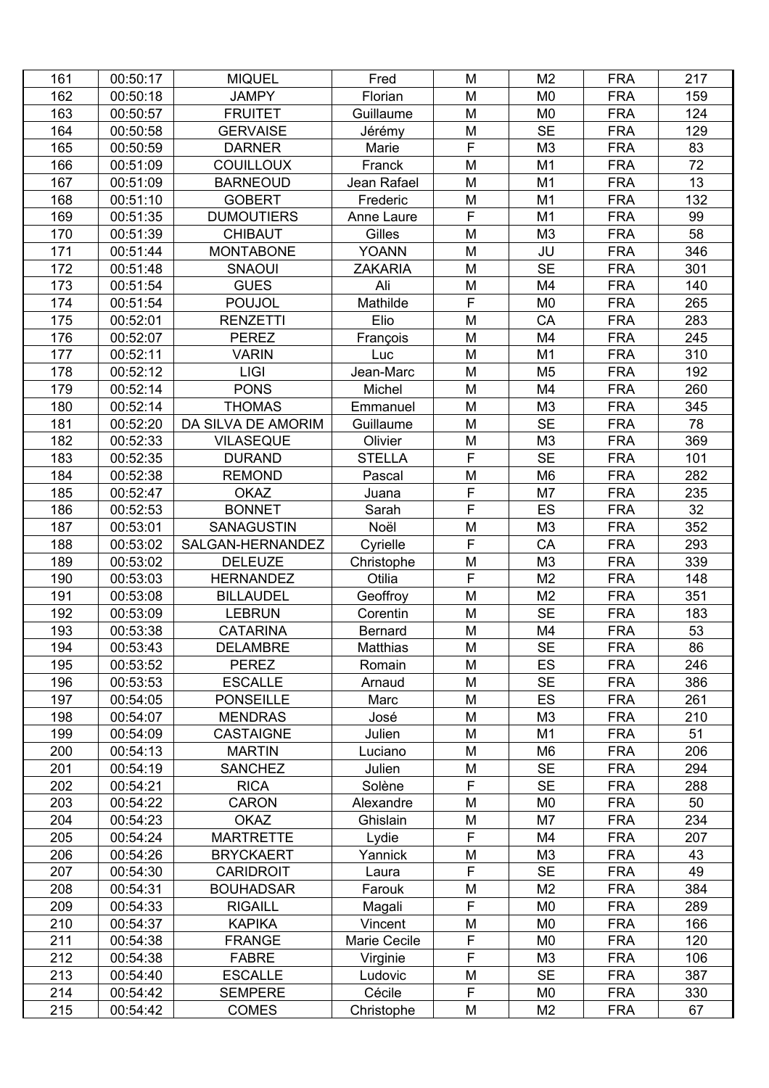| 161 | 00:50:17             | <b>MIQUEL</b>      | Fred                 | M              | M <sub>2</sub> | <b>FRA</b> | 217 |
|-----|----------------------|--------------------|----------------------|----------------|----------------|------------|-----|
| 162 | 00:50:18             | <b>JAMPY</b>       | Florian              | M              | M <sub>0</sub> | <b>FRA</b> | 159 |
| 163 | 00:50:57             | <b>FRUITET</b>     | Guillaume            | M              | M <sub>0</sub> | <b>FRA</b> | 124 |
| 164 | 00:50:58             | <b>GERVAISE</b>    | Jérémy               | M              | <b>SE</b>      | <b>FRA</b> | 129 |
| 165 | 00:50:59             | <b>DARNER</b>      | Marie                | F              | M <sub>3</sub> | <b>FRA</b> | 83  |
| 166 | 00:51:09             | <b>COUILLOUX</b>   | Franck               | M              | M1             | <b>FRA</b> | 72  |
| 167 | 00:51:09             | <b>BARNEOUD</b>    | Jean Rafael          | M              | M1             | <b>FRA</b> | 13  |
| 168 | 00:51:10             | <b>GOBERT</b>      | Frederic             | M              | M1             | <b>FRA</b> | 132 |
| 169 | 00:51:35             | <b>DUMOUTIERS</b>  | Anne Laure           | F              | M1             | <b>FRA</b> | 99  |
| 170 | 00:51:39             | <b>CHIBAUT</b>     | Gilles               | M              | M <sub>3</sub> | <b>FRA</b> | 58  |
| 171 | 00:51:44             | <b>MONTABONE</b>   | <b>YOANN</b>         | M              | JU             | <b>FRA</b> | 346 |
| 172 | 00:51:48             | <b>SNAOUI</b>      | <b>ZAKARIA</b>       | M              | <b>SE</b>      | <b>FRA</b> | 301 |
| 173 | 00:51:54             | <b>GUES</b>        | Ali                  | M              | M4             | <b>FRA</b> | 140 |
| 174 | 00:51:54             | <b>POUJOL</b>      | Mathilde             | F              | M <sub>0</sub> | <b>FRA</b> | 265 |
| 175 | 00:52:01             | <b>RENZETTI</b>    | Elio                 | M              | CA             | <b>FRA</b> | 283 |
| 176 | 00:52:07             | <b>PEREZ</b>       | François             | M              | M4             | <b>FRA</b> | 245 |
| 177 | 00:52:11             | <b>VARIN</b>       | Luc                  | M              | M1             | <b>FRA</b> | 310 |
| 178 | 00:52:12             | <b>LIGI</b>        | Jean-Marc            | M              | M <sub>5</sub> | <b>FRA</b> | 192 |
| 179 | 00:52:14             | <b>PONS</b>        | Michel               | M              | M4             | <b>FRA</b> | 260 |
| 180 | 00:52:14             | <b>THOMAS</b>      | Emmanuel             | M              | M3             | <b>FRA</b> | 345 |
| 181 |                      | DA SILVA DE AMORIM |                      | M              | <b>SE</b>      | <b>FRA</b> | 78  |
| 182 | 00:52:20<br>00:52:33 | <b>VILASEQUE</b>   | Guillaume<br>Olivier | M              | M3             |            | 369 |
|     |                      |                    |                      | F              | <b>SE</b>      | <b>FRA</b> | 101 |
| 183 | 00:52:35             | <b>DURAND</b>      | <b>STELLA</b>        |                |                | <b>FRA</b> |     |
| 184 | 00:52:38             | <b>REMOND</b>      | Pascal               | M<br>F         | M <sub>6</sub> | <b>FRA</b> | 282 |
| 185 | 00:52:47             | <b>OKAZ</b>        | Juana                |                | M7             | <b>FRA</b> | 235 |
| 186 | 00:52:53             | <b>BONNET</b>      | Sarah                | F              | <b>ES</b>      | <b>FRA</b> | 32  |
| 187 | 00:53:01             | <b>SANAGUSTIN</b>  | Noël                 | M              | M3             | <b>FRA</b> | 352 |
| 188 | 00:53:02             | SALGAN-HERNANDEZ   | Cyrielle             | F              | CA             | <b>FRA</b> | 293 |
| 189 | 00:53:02             | <b>DELEUZE</b>     | Christophe           | M              | M3             | <b>FRA</b> | 339 |
| 190 | 00:53:03             | <b>HERNANDEZ</b>   | Otilia               | F              | M <sub>2</sub> | <b>FRA</b> | 148 |
| 191 | 00:53:08             | <b>BILLAUDEL</b>   | Geoffroy             | M              | M <sub>2</sub> | <b>FRA</b> | 351 |
| 192 | 00:53:09             | <b>LEBRUN</b>      | Corentin             | M              | <b>SE</b>      | <b>FRA</b> | 183 |
| 193 | 00:53:38             | <b>CATARINA</b>    | <b>Bernard</b>       | M              | M4             | <b>FRA</b> | 53  |
| 194 | 00:53:43             | <b>DELAMBRE</b>    | Matthias             | M              | <b>SE</b>      | <b>FRA</b> | 86  |
| 195 | 00:53:52             | <b>PEREZ</b>       | Romain               | M              | ES             | <b>FRA</b> | 246 |
| 196 | 00:53:53             | <b>ESCALLE</b>     | Arnaud               | M              | <b>SE</b>      | <b>FRA</b> | 386 |
| 197 | 00:54:05             | <b>PONSEILLE</b>   | Marc                 | M              | <b>ES</b>      | <b>FRA</b> | 261 |
| 198 | 00:54:07             | <b>MENDRAS</b>     | José                 | M              | M3             | <b>FRA</b> | 210 |
| 199 | 00:54:09             | <b>CASTAIGNE</b>   | Julien               | M              | M <sub>1</sub> | <b>FRA</b> | 51  |
| 200 | 00:54:13             | <b>MARTIN</b>      | Luciano              | M              | M <sub>6</sub> | <b>FRA</b> | 206 |
| 201 | 00:54:19             | <b>SANCHEZ</b>     | Julien               | M              | <b>SE</b>      | <b>FRA</b> | 294 |
| 202 | 00:54:21             | <b>RICA</b>        | Solène               | $\overline{F}$ | <b>SE</b>      | <b>FRA</b> | 288 |
| 203 | 00:54:22             | <b>CARON</b>       | Alexandre            | M              | M <sub>0</sub> | <b>FRA</b> | 50  |
| 204 | 00:54:23             | <b>OKAZ</b>        | Ghislain             | M              | M7             | <b>FRA</b> | 234 |
| 205 | 00:54:24             | <b>MARTRETTE</b>   | Lydie                | F              | M4             | <b>FRA</b> | 207 |
| 206 | 00:54:26             | <b>BRYCKAERT</b>   | Yannick              | M              | M <sub>3</sub> | <b>FRA</b> | 43  |
| 207 | 00:54:30             | <b>CARIDROIT</b>   | Laura                | $\overline{F}$ | <b>SE</b>      | <b>FRA</b> | 49  |
| 208 | 00:54:31             | <b>BOUHADSAR</b>   | Farouk               | M              | M <sub>2</sub> | <b>FRA</b> | 384 |
| 209 | 00:54:33             | <b>RIGAILL</b>     | Magali               | F              | M <sub>0</sub> | <b>FRA</b> | 289 |
| 210 | 00:54:37             | <b>KAPIKA</b>      | Vincent              | M              | M <sub>0</sub> | <b>FRA</b> | 166 |
| 211 | 00:54:38             | <b>FRANGE</b>      | Marie Cecile         | F              | M <sub>0</sub> | <b>FRA</b> | 120 |
| 212 | 00:54:38             | <b>FABRE</b>       | Virginie             | F              | M <sub>3</sub> | <b>FRA</b> | 106 |
| 213 | 00:54:40             | <b>ESCALLE</b>     | Ludovic              | M              | <b>SE</b>      | <b>FRA</b> | 387 |
| 214 | 00:54:42             | <b>SEMPERE</b>     | Cécile               | F              | M <sub>0</sub> | <b>FRA</b> | 330 |
| 215 | 00:54:42             | <b>COMES</b>       | Christophe           | M              | M <sub>2</sub> | <b>FRA</b> | 67  |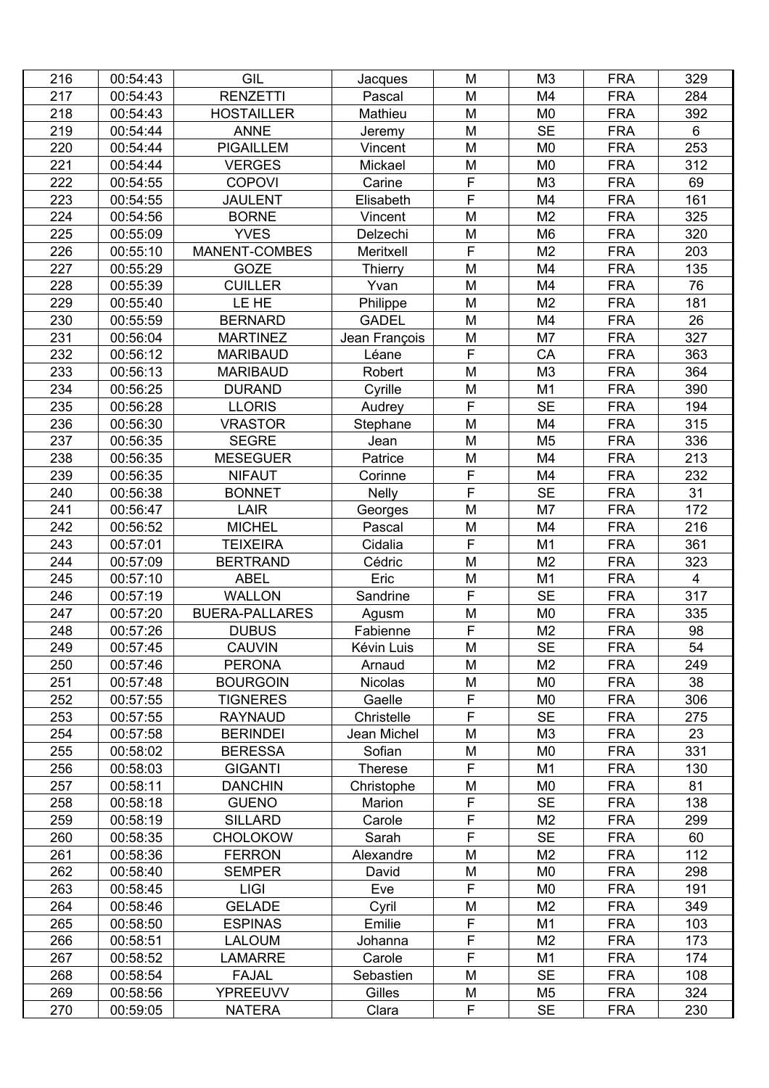| 216 | 00:54:43 | GIL                   | Jacques        | M                       | M <sub>3</sub> | <b>FRA</b> | 329                     |
|-----|----------|-----------------------|----------------|-------------------------|----------------|------------|-------------------------|
| 217 | 00:54:43 | <b>RENZETTI</b>       | Pascal         | M                       | M4             | <b>FRA</b> | 284                     |
| 218 | 00:54:43 | <b>HOSTAILLER</b>     | Mathieu        | M                       | M <sub>0</sub> | <b>FRA</b> | 392                     |
| 219 | 00:54:44 | <b>ANNE</b>           | Jeremy         | M                       | <b>SE</b>      | <b>FRA</b> | 6                       |
| 220 | 00:54:44 | <b>PIGAILLEM</b>      | Vincent        | M                       | M <sub>0</sub> | <b>FRA</b> | 253                     |
| 221 | 00:54:44 | <b>VERGES</b>         | Mickael        | M                       | M <sub>0</sub> | <b>FRA</b> | 312                     |
| 222 | 00:54:55 | <b>COPOVI</b>         | Carine         | F                       | M <sub>3</sub> | <b>FRA</b> | 69                      |
| 223 | 00:54:55 | <b>JAULENT</b>        | Elisabeth      | F                       | M4             | <b>FRA</b> | 161                     |
| 224 | 00:54:56 | <b>BORNE</b>          | Vincent        | M                       | M <sub>2</sub> | <b>FRA</b> | 325                     |
| 225 | 00:55:09 | <b>YVES</b>           | Delzechi       | M                       | M <sub>6</sub> | <b>FRA</b> | 320                     |
| 226 | 00:55:10 | <b>MANENT-COMBES</b>  | Meritxell      | F                       | M <sub>2</sub> | <b>FRA</b> | 203                     |
| 227 | 00:55:29 | GOZE                  | Thierry        | M                       | M4             | <b>FRA</b> | 135                     |
| 228 | 00:55:39 | <b>CUILLER</b>        | Yvan           | M                       | M4             | <b>FRA</b> | 76                      |
| 229 | 00:55:40 | LE HE                 | Philippe       | M                       | M <sub>2</sub> | <b>FRA</b> | 181                     |
| 230 | 00:55:59 | <b>BERNARD</b>        | <b>GADEL</b>   | M                       | M4             | <b>FRA</b> | 26                      |
| 231 | 00:56:04 | <b>MARTINEZ</b>       | Jean François  | M                       | M7             | <b>FRA</b> | 327                     |
| 232 | 00:56:12 | <b>MARIBAUD</b>       | Léane          | F                       | CA             | <b>FRA</b> | 363                     |
| 233 | 00:56:13 | <b>MARIBAUD</b>       | Robert         | M                       | M3             | <b>FRA</b> | 364                     |
| 234 | 00:56:25 | <b>DURAND</b>         | Cyrille        | M                       | M1             | <b>FRA</b> | 390                     |
| 235 | 00:56:28 | <b>LLORIS</b>         | Audrey         | $\overline{F}$          | <b>SE</b>      | <b>FRA</b> | 194                     |
| 236 | 00:56:30 | <b>VRASTOR</b>        | Stephane       | M                       | M4             | <b>FRA</b> | 315                     |
| 237 | 00:56:35 | <b>SEGRE</b>          | Jean           | M                       | M <sub>5</sub> | <b>FRA</b> | 336                     |
| 238 | 00:56:35 | <b>MESEGUER</b>       | Patrice        | M                       | M4             | <b>FRA</b> | 213                     |
| 239 | 00:56:35 | <b>NIFAUT</b>         | Corinne        | $\overline{F}$          | M4             | <b>FRA</b> | 232                     |
| 240 | 00:56:38 | <b>BONNET</b>         | <b>Nelly</b>   | $\overline{\mathsf{F}}$ | <b>SE</b>      | <b>FRA</b> | 31                      |
| 241 | 00:56:47 | <b>LAIR</b>           | Georges        | M                       | M7             | <b>FRA</b> | 172                     |
| 242 | 00:56:52 | <b>MICHEL</b>         | Pascal         | M                       | M <sub>4</sub> | <b>FRA</b> | 216                     |
| 243 | 00:57:01 | <b>TEIXEIRA</b>       | Cidalia        | F                       | M1             | <b>FRA</b> | 361                     |
| 244 | 00:57:09 | <b>BERTRAND</b>       | Cédric         | M                       | M <sub>2</sub> | <b>FRA</b> | 323                     |
| 245 | 00:57:10 | <b>ABEL</b>           | Eric           | M                       | M <sub>1</sub> | <b>FRA</b> | $\overline{\mathbf{4}}$ |
| 246 | 00:57:19 | <b>WALLON</b>         | Sandrine       | $\overline{F}$          | <b>SE</b>      | <b>FRA</b> | 317                     |
| 247 | 00:57:20 | <b>BUERA-PALLARES</b> | Agusm          | M                       | M <sub>0</sub> | <b>FRA</b> | 335                     |
| 248 | 00:57:26 | <b>DUBUS</b>          | Fabienne       | $\overline{F}$          | M <sub>2</sub> | <b>FRA</b> | 98                      |
| 249 | 00:57:45 | <b>CAUVIN</b>         | Kévin Luis     | M                       | <b>SE</b>      | <b>FRA</b> | 54                      |
| 250 | 00:57:46 | <b>PERONA</b>         | Arnaud         | M                       | M <sub>2</sub> | <b>FRA</b> | 249                     |
| 251 | 00:57:48 | <b>BOURGOIN</b>       | <b>Nicolas</b> | M                       | M <sub>0</sub> | <b>FRA</b> | 38                      |
| 252 | 00:57:55 | <b>TIGNERES</b>       | Gaelle         | F                       | M <sub>0</sub> | <b>FRA</b> | 306                     |
| 253 | 00:57:55 | <b>RAYNAUD</b>        | Christelle     | F                       | <b>SE</b>      | <b>FRA</b> | 275                     |
| 254 | 00:57:58 | <b>BERINDEI</b>       | Jean Michel    | M                       | M3             | <b>FRA</b> | 23                      |
| 255 | 00:58:02 | <b>BERESSA</b>        | Sofian         | M                       | M <sub>0</sub> | <b>FRA</b> | 331                     |
| 256 | 00:58:03 | <b>GIGANTI</b>        | <b>Therese</b> | F                       | M <sub>1</sub> | <b>FRA</b> | 130                     |
| 257 | 00:58:11 | <b>DANCHIN</b>        | Christophe     | M                       | M <sub>0</sub> | <b>FRA</b> | 81                      |
| 258 | 00:58:18 | <b>GUENO</b>          | Marion         | F                       | <b>SE</b>      | <b>FRA</b> | 138                     |
| 259 | 00:58:19 | <b>SILLARD</b>        | Carole         | $\overline{F}$          | M <sub>2</sub> | <b>FRA</b> | 299                     |
| 260 | 00:58:35 | <b>CHOLOKOW</b>       | Sarah          | F                       | <b>SE</b>      | <b>FRA</b> | 60                      |
| 261 | 00:58:36 | <b>FERRON</b>         | Alexandre      | M                       | M <sub>2</sub> | <b>FRA</b> | 112                     |
| 262 | 00:58:40 | <b>SEMPER</b>         | David          | M                       | M <sub>0</sub> | <b>FRA</b> | 298                     |
| 263 | 00:58:45 | <b>LIGI</b>           | Eve            | F                       | M <sub>0</sub> | <b>FRA</b> | 191                     |
| 264 | 00:58:46 | <b>GELADE</b>         | Cyril          | M                       | M <sub>2</sub> | <b>FRA</b> | 349                     |
| 265 | 00:58:50 | <b>ESPINAS</b>        | Emilie         | F                       | M <sub>1</sub> | <b>FRA</b> | 103                     |
| 266 | 00:58:51 | <b>LALOUM</b>         | Johanna        | F                       | M <sub>2</sub> | <b>FRA</b> | 173                     |
| 267 | 00:58:52 | LAMARRE               | Carole         | F                       | M1             | <b>FRA</b> | 174                     |
| 268 | 00:58:54 | <b>FAJAL</b>          | Sebastien      | M                       | <b>SE</b>      | <b>FRA</b> | 108                     |
| 269 | 00:58:56 | <b>YPREEUVV</b>       | Gilles         | M                       | M <sub>5</sub> | <b>FRA</b> | 324                     |
| 270 | 00:59:05 | <b>NATERA</b>         | Clara          | F                       | <b>SE</b>      | <b>FRA</b> | 230                     |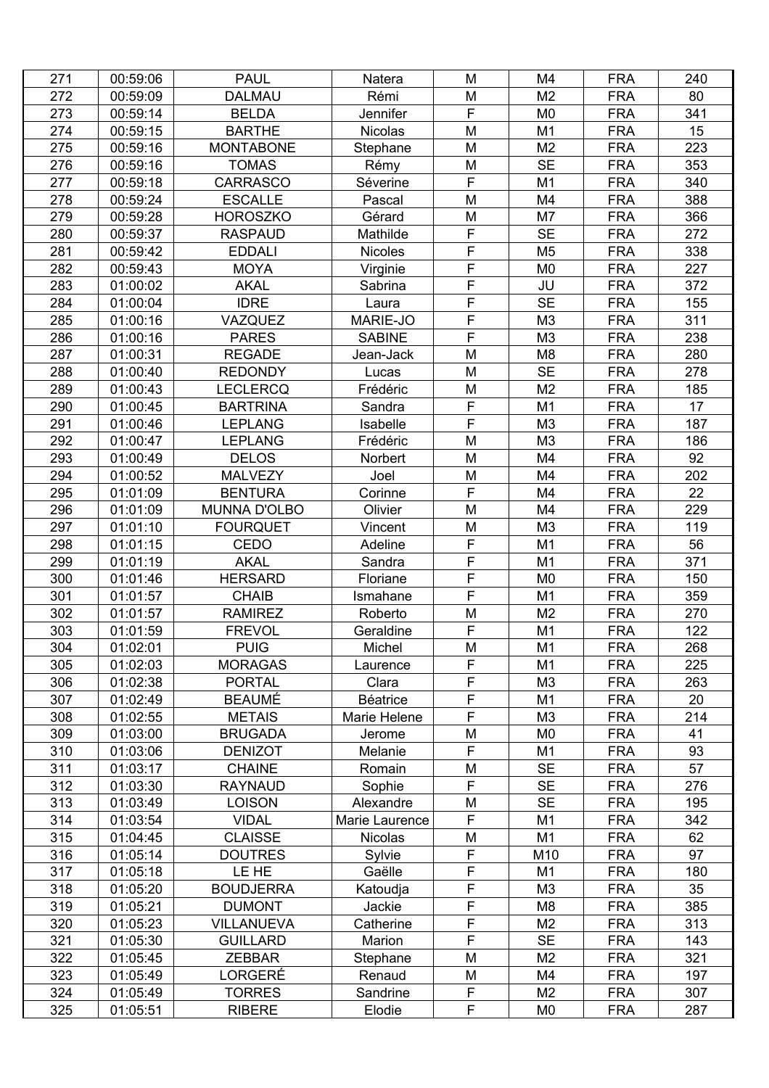| 271 | 00:59:06 | <b>PAUL</b>         | Natera            | M              | M4             | <b>FRA</b> | 240       |
|-----|----------|---------------------|-------------------|----------------|----------------|------------|-----------|
| 272 | 00:59:09 | <b>DALMAU</b>       | Rémi              | M              | M <sub>2</sub> | <b>FRA</b> | 80        |
| 273 | 00:59:14 | <b>BELDA</b>        | Jennifer          | F              | M <sub>0</sub> | <b>FRA</b> | 341       |
| 274 | 00:59:15 | <b>BARTHE</b>       | <b>Nicolas</b>    | M              | M <sub>1</sub> | <b>FRA</b> | 15        |
| 275 | 00:59:16 | <b>MONTABONE</b>    | Stephane          | M              | M <sub>2</sub> | <b>FRA</b> | 223       |
| 276 | 00:59:16 | <b>TOMAS</b>        | Rémy              | M              | <b>SE</b>      | <b>FRA</b> | 353       |
| 277 | 00:59:18 | <b>CARRASCO</b>     | Séverine          | F              | M1             | <b>FRA</b> | 340       |
| 278 | 00:59:24 | <b>ESCALLE</b>      | Pascal            | M              | M4             | <b>FRA</b> | 388       |
| 279 | 00:59:28 | <b>HOROSZKO</b>     | Gérard            | M              | M7             | <b>FRA</b> | 366       |
| 280 | 00:59:37 | <b>RASPAUD</b>      | Mathilde          | F              | <b>SE</b>      | <b>FRA</b> | 272       |
| 281 | 00:59:42 | <b>EDDALI</b>       | <b>Nicoles</b>    | F              | M <sub>5</sub> | <b>FRA</b> | 338       |
| 282 | 00:59:43 | <b>MOYA</b>         | Virginie          | F              | M <sub>0</sub> | <b>FRA</b> | 227       |
| 283 | 01:00:02 | <b>AKAL</b>         | Sabrina           | F              | JU             | <b>FRA</b> | 372       |
| 284 | 01:00:04 | <b>IDRE</b>         | Laura             | $\mathsf F$    | <b>SE</b>      | <b>FRA</b> | 155       |
| 285 | 01:00:16 | VAZQUEZ             | MARIE-JO          | F              | M <sub>3</sub> | <b>FRA</b> | 311       |
| 286 | 01:00:16 | <b>PARES</b>        | <b>SABINE</b>     | $\overline{F}$ | M <sub>3</sub> | <b>FRA</b> | 238       |
| 287 | 01:00:31 | <b>REGADE</b>       | Jean-Jack         | M              | M <sub>8</sub> | <b>FRA</b> | 280       |
| 288 | 01:00:40 | <b>REDONDY</b>      |                   | M              | <b>SE</b>      | <b>FRA</b> | 278       |
| 289 | 01:00:43 | <b>LECLERCQ</b>     | Lucas<br>Frédéric | M              | M <sub>2</sub> | <b>FRA</b> | 185       |
| 290 | 01:00:45 | <b>BARTRINA</b>     |                   | F              | M <sub>1</sub> | <b>FRA</b> | 17        |
|     |          |                     | Sandra            | F              |                | <b>FRA</b> | 187       |
| 291 | 01:00:46 | <b>LEPLANG</b>      | Isabelle          |                | M <sub>3</sub> |            |           |
| 292 | 01:00:47 | <b>LEPLANG</b>      | Frédéric          | M              | M3             | <b>FRA</b> | 186<br>92 |
| 293 | 01:00:49 | <b>DELOS</b>        | Norbert           | M              | M4             | <b>FRA</b> |           |
| 294 | 01:00:52 | <b>MALVEZY</b>      | Joel              | M<br>F         | M4             | <b>FRA</b> | 202       |
| 295 | 01:01:09 | <b>BENTURA</b>      | Corinne           |                | M4             | <b>FRA</b> | 22        |
| 296 | 01:01:09 | <b>MUNNA D'OLBO</b> | Olivier           | M              | M4             | <b>FRA</b> | 229       |
| 297 | 01:01:10 | <b>FOURQUET</b>     | Vincent           | M              | M <sub>3</sub> | <b>FRA</b> | 119       |
| 298 | 01:01:15 | CEDO                | Adeline           | F              | M <sub>1</sub> | <b>FRA</b> | 56        |
| 299 | 01:01:19 | <b>AKAL</b>         | Sandra            | F              | M <sub>1</sub> | <b>FRA</b> | 371       |
| 300 | 01:01:46 | <b>HERSARD</b>      | Floriane          | F              | M <sub>0</sub> | <b>FRA</b> | 150       |
| 301 | 01:01:57 | <b>CHAIB</b>        | Ismahane          | $\overline{F}$ | M <sub>1</sub> | <b>FRA</b> | 359       |
| 302 | 01:01:57 | <b>RAMIREZ</b>      | Roberto           | M              | M <sub>2</sub> | <b>FRA</b> | 270       |
| 303 | 01:01:59 | <b>FREVOL</b>       | Geraldine         | F              | M <sub>1</sub> | <b>FRA</b> | 122       |
| 304 | 01:02:01 | <b>PUIG</b>         | Michel            | M              | M <sub>1</sub> | <b>FRA</b> | 268       |
| 305 | 01:02:03 | <b>MORAGAS</b>      | Laurence          | F              | M <sub>1</sub> | <b>FRA</b> | 225       |
| 306 | 01:02:38 | <b>PORTAL</b>       | Clara             | F              | M <sub>3</sub> | <b>FRA</b> | 263       |
| 307 | 01:02:49 | <b>BEAUMÉ</b>       | <b>Béatrice</b>   | F              | M <sub>1</sub> | <b>FRA</b> | 20        |
| 308 | 01:02:55 | <b>METAIS</b>       | Marie Helene      | F              | M <sub>3</sub> | <b>FRA</b> | 214       |
| 309 | 01:03:00 | <b>BRUGADA</b>      | Jerome            | M              | M <sub>0</sub> | <b>FRA</b> | 41        |
| 310 | 01:03:06 | <b>DENIZOT</b>      | Melanie           | F              | M <sub>1</sub> | <b>FRA</b> | 93        |
| 311 | 01:03:17 | <b>CHAINE</b>       | Romain            | M              | <b>SE</b>      | <b>FRA</b> | 57        |
| 312 | 01:03:30 | <b>RAYNAUD</b>      | Sophie            | F              | <b>SE</b>      | <b>FRA</b> | 276       |
| 313 | 01:03:49 | <b>LOISON</b>       | Alexandre         | M              | <b>SE</b>      | <b>FRA</b> | 195       |
| 314 | 01:03:54 | <b>VIDAL</b>        | Marie Laurence    | F              | M <sub>1</sub> | <b>FRA</b> | 342       |
| 315 | 01:04:45 | <b>CLAISSE</b>      | <b>Nicolas</b>    | M              | M <sub>1</sub> | <b>FRA</b> | 62        |
| 316 | 01:05:14 | <b>DOUTRES</b>      | Sylvie            | F              | M10            | <b>FRA</b> | 97        |
| 317 | 01:05:18 | LE HE               | Gaëlle            | F              | M <sub>1</sub> | <b>FRA</b> | 180       |
| 318 | 01:05:20 | <b>BOUDJERRA</b>    | Katoudja          | F              | M <sub>3</sub> | <b>FRA</b> | 35        |
| 319 | 01:05:21 | <b>DUMONT</b>       | Jackie            | $\overline{F}$ | M <sub>8</sub> | <b>FRA</b> | 385       |
| 320 | 01:05:23 | <b>VILLANUEVA</b>   | Catherine         | F              | M <sub>2</sub> | <b>FRA</b> | 313       |
| 321 | 01:05:30 | <b>GUILLARD</b>     | Marion            | F              | <b>SE</b>      | <b>FRA</b> | 143       |
| 322 | 01:05:45 | <b>ZEBBAR</b>       | Stephane          | M              | M <sub>2</sub> | <b>FRA</b> | 321       |
| 323 | 01:05:49 | LORGERÉ             | Renaud            | M              | M4             | <b>FRA</b> | 197       |
| 324 | 01:05:49 | <b>TORRES</b>       | Sandrine          | F              | M <sub>2</sub> | <b>FRA</b> | 307       |
| 325 | 01:05:51 | <b>RIBERE</b>       | Elodie            | F              | M0             | <b>FRA</b> | 287       |